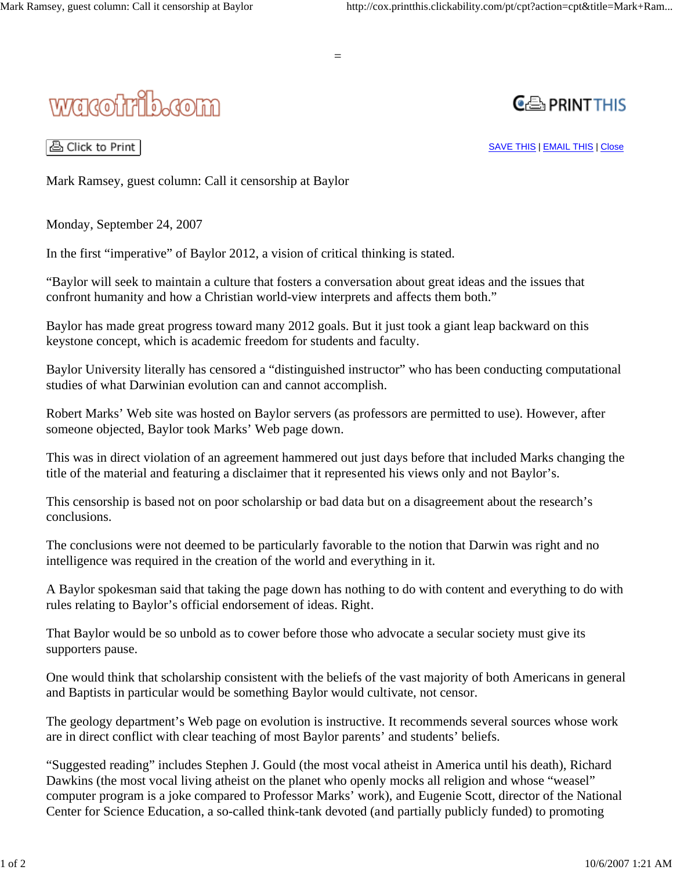

**CE PRINT THIS** 

© Click to Print

SAVE THIS | EMAIL THIS | Close

Mark Ramsey, guest column: Call it censorship at Baylor

Monday, September 24, 2007

In the first "imperative" of Baylor 2012, a vision of critical thinking is stated.

"Baylor will seek to maintain a culture that fosters a conversation about great ideas and the issues that confront humanity and how a Christian world-view interprets and affects them both."

Baylor has made great progress toward many 2012 goals. But it just took a giant leap backward on this keystone concept, which is academic freedom for students and faculty.

Baylor University literally has censored a "distinguished instructor" who has been conducting computational studies of what Darwinian evolution can and cannot accomplish.

Robert Marks' Web site was hosted on Baylor servers (as professors are permitted to use). However, after someone objected, Baylor took Marks' Web page down.

This was in direct violation of an agreement hammered out just days before that included Marks changing the title of the material and featuring a disclaimer that it represented his views only and not Baylor's.

This censorship is based not on poor scholarship or bad data but on a disagreement about the research's conclusions.

The conclusions were not deemed to be particularly favorable to the notion that Darwin was right and no intelligence was required in the creation of the world and everything in it.

A Baylor spokesman said that taking the page down has nothing to do with content and everything to do with rules relating to Baylor's official endorsement of ideas. Right.

That Baylor would be so unbold as to cower before those who advocate a secular society must give its supporters pause.

One would think that scholarship consistent with the beliefs of the vast majority of both Americans in general and Baptists in particular would be something Baylor would cultivate, not censor.

The geology department's Web page on evolution is instructive. It recommends several sources whose work are in direct conflict with clear teaching of most Baylor parents' and students' beliefs.

"Suggested reading" includes Stephen J. Gould (the most vocal atheist in America until his death), Richard Dawkins (the most vocal living atheist on the planet who openly mocks all religion and whose "weasel" computer program is a joke compared to Professor Marks' work), and Eugenie Scott, director of the National Center for Science Education, a so-called think-tank devoted (and partially publicly funded) to promoting